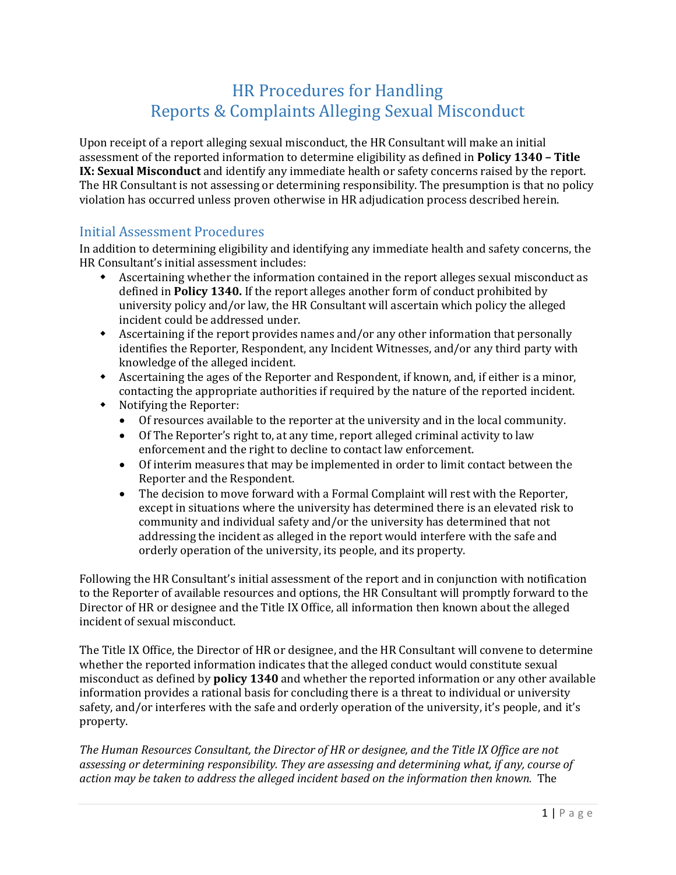# HR Procedures for Handling Reports & Complaints Alleging Sexual Misconduct

Upon receipt of a report alleging sexual misconduct, the HR Consultant will make an initial assessment of the reported information to determine eligibility as defined in **Policy 1340 – Title IX: Sexual Misconduct** and identify any immediate health or safety concerns raised by the report. The HR Consultant is not assessing or determining responsibility. The presumption is that no policy violation has occurred unless proven otherwise in HR adjudication process described herein.

### Initial Assessment Procedures

In addition to determining eligibility and identifying any immediate health and safety concerns, the HR Consultant's initial assessment includes:

- Ascertaining whether the information contained in the report alleges sexual misconduct as defined in **Policy 1340.** If the report alleges another form of conduct prohibited by university policy and/or law, the HR Consultant will ascertain which policy the alleged incident could be addressed under.
- Ascertaining if the report provides names and/or any other information that personally identifies the Reporter, Respondent, any Incident Witnesses, and/or any third party with knowledge of the alleged incident.
- Ascertaining the ages of the Reporter and Respondent, if known, and, if either is a minor, contacting the appropriate authorities if required by the nature of the reported incident.
- Notifying the Reporter:
	- Of resources available to the reporter at the university and in the local community.
	- Of The Reporter's right to, at any time, report alleged criminal activity to law enforcement and the right to decline to contact law enforcement.
	- Of interim measures that may be implemented in order to limit contact between the Reporter and the Respondent.
	- The decision to move forward with a Formal Complaint will rest with the Reporter, except in situations where the university has determined there is an elevated risk to community and individual safety and/or the university has determined that not addressing the incident as alleged in the report would interfere with the safe and orderly operation of the university, its people, and its property.

Following the HR Consultant's initial assessment of the report and in conjunction with notification to the Reporter of available resources and options, the HR Consultant will promptly forward to the Director of HR or designee and the Title IX Office, all information then known about the alleged incident of sexual misconduct.

The Title IX Office, the Director of HR or designee, and the HR Consultant will convene to determine whether the reported information indicates that the alleged conduct would constitute sexual misconduct as defined by **policy 1340** and whether the reported information or any other available information provides a rational basis for concluding there is a threat to individual or university safety, and/or interferes with the safe and orderly operation of the university, it's people, and it's property.

*The Human Resources Consultant, the Director of HR or designee, and the Title IX Office are not assessing or determining responsibility. They are assessing and determining what, if any, course of action may be taken to address the alleged incident based on the information then known.* The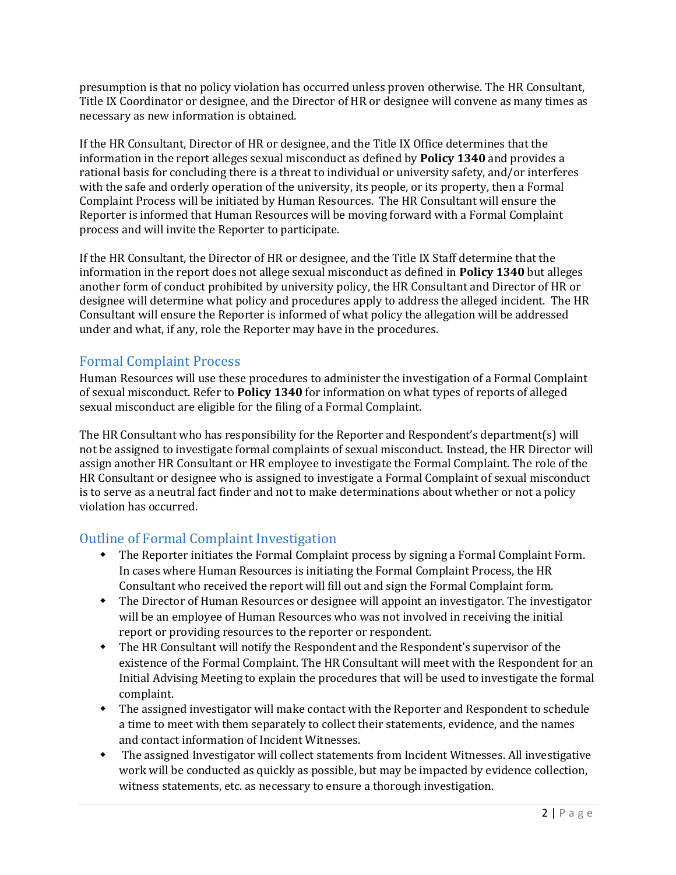presumption is that no policy violation has occurred unless proven otherwise. The HR Consultant, Title IX Coordinator or designee, and the Director of HR or designee will convene as many times as necessary as new information is obtained.

If the HR Consultant, Director of HR or designee, and the Title IX Office determines that the information in the report alleges sexual misconduct as defined by **Policy 1340** and provides a rational basis for concluding there is a threat to individual or university safety, and/or interferes with the safe and orderly operation of the university, its people, or its property, then a Formal Complaint Process will be initiated by Human Resources. The HR Consultant will ensure the Reporter is informed that Human Resources will be moving forward with a Formal Complaint process and will invite the Reporter to participate.

If the HR Consultant, the Director of HR or designee, and the Title IX Staff determine that the information in the report does not allege sexual misconduct as defined in **Policy 1340** but alleges another form of conduct prohibited by university policy, the HR Consultant and Director of HR or designee will determine what policy and procedures apply to address the alleged incident. The HR Consultant will ensure the Reporter is informed of what policy the allegation will be addressed under and what, if any, role the Reporter may have in the procedures.

#### Formal Complaint Process

Human Resources will use these procedures to administer the investigation of a Formal Complaint of sexual misconduct. Refer to **Policy 1340** for information on what types of reports of alleged sexual misconduct are eligible for the filing of a Formal Complaint.

The HR Consultant who has responsibility for the Reporter and Respondent's department(s) will not be assigned to investigate formal complaints of sexual misconduct. Instead, the HR Director will assign another HR Consultant or HR employee to investigate the Formal Complaint. The role of the HR Consultant or designee who is assigned to investigate a Formal Complaint of sexual misconduct is to serve as a neutral fact finder and not to make determinations about whether or not a policy violation has occurred.

### Outline of Formal Complaint Investigation

- The Reporter initiates the Formal Complaint process by signing a Formal Complaint Form. In cases where Human Resources is initiating the Formal Complaint Process, the HR Consultant who received the report will fill out and sign the Formal Complaint form.
- The Director of Human Resources or designee will appoint an investigator. The investigator will be an employee of Human Resources who was not involved in receiving the initial report or providing resources to the reporter or respondent.
- The HR Consultant will notify the Respondent and the Respondent's supervisor of the existence of the Formal Complaint. The HR Consultant will meet with the Respondent for an Initial Advising Meeting to explain the procedures that will be used to investigate the formal complaint.
- The assigned investigator will make contact with the Reporter and Respondent to schedule a time to meet with them separately to collect their statements, evidence, and the names and contact information of Incident Witnesses.
- The assigned Investigator will collect statements from Incident Witnesses. All investigative work will be conducted as quickly as possible, but may be impacted by evidence collection, witness statements, etc. as necessary to ensure a thorough investigation.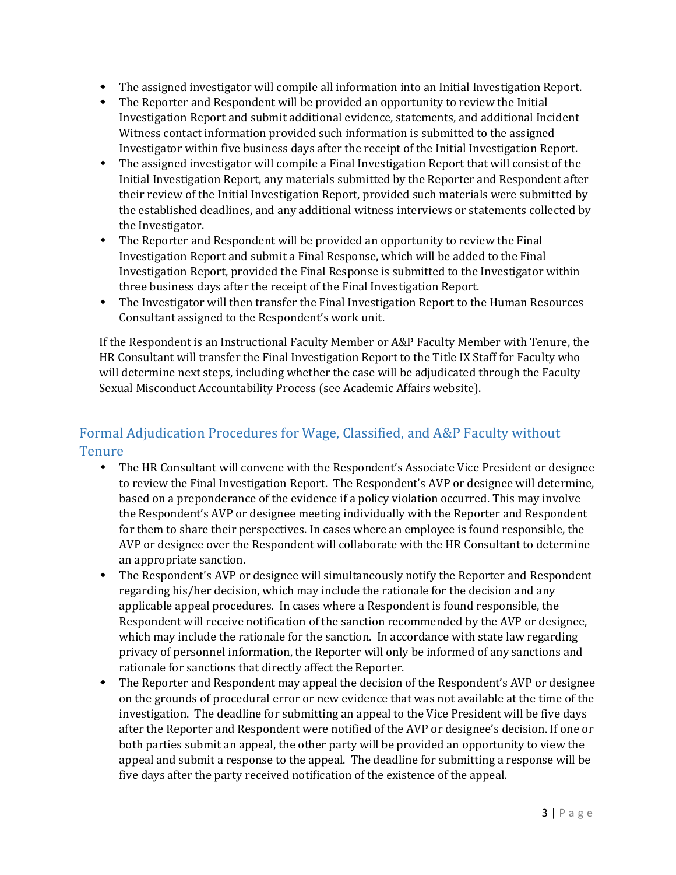- The assigned investigator will compile all information into an Initial Investigation Report.
- The Reporter and Respondent will be provided an opportunity to review the Initial Investigation Report and submit additional evidence, statements, and additional Incident Witness contact information provided such information is submitted to the assigned Investigator within five business days after the receipt of the Initial Investigation Report.
- The assigned investigator will compile a Final Investigation Report that will consist of the Initial Investigation Report, any materials submitted by the Reporter and Respondent after their review of the Initial Investigation Report, provided such materials were submitted by the established deadlines, and any additional witness interviews or statements collected by the Investigator.
- The Reporter and Respondent will be provided an opportunity to review the Final Investigation Report and submit a Final Response, which will be added to the Final Investigation Report, provided the Final Response is submitted to the Investigator within three business days after the receipt of the Final Investigation Report.
- The Investigator will then transfer the Final Investigation Report to the Human Resources Consultant assigned to the Respondent's work unit.

If the Respondent is an Instructional Faculty Member or A&P Faculty Member with Tenure, the HR Consultant will transfer the Final Investigation Report to the Title IX Staff for Faculty who will determine next steps, including whether the case will be adjudicated through the Faculty Sexual Misconduct Accountability Process (see Academic Affairs website).

## Formal Adjudication Procedures for Wage, Classified, and A&P Faculty without **Tenure**

- The HR Consultant will convene with the Respondent's Associate Vice President or designee to review the Final Investigation Report. The Respondent's AVP or designee will determine, based on a preponderance of the evidence if a policy violation occurred. This may involve the Respondent's AVP or designee meeting individually with the Reporter and Respondent for them to share their perspectives. In cases where an employee is found responsible, the AVP or designee over the Respondent will collaborate with the HR Consultant to determine an appropriate sanction.
- The Respondent's AVP or designee will simultaneously notify the Reporter and Respondent regarding his/her decision, which may include the rationale for the decision and any applicable appeal procedures. In cases where a Respondent is found responsible, the Respondent will receive notification of the sanction recommended by the AVP or designee, which may include the rationale for the sanction. In accordance with state law regarding privacy of personnel information, the Reporter will only be informed of any sanctions and rationale for sanctions that directly affect the Reporter.
- The Reporter and Respondent may appeal the decision of the Respondent's AVP or designee on the grounds of procedural error or new evidence that was not available at the time of the investigation. The deadline for submitting an appeal to the Vice President will be five days after the Reporter and Respondent were notified of the AVP or designee's decision. If one or both parties submit an appeal, the other party will be provided an opportunity to view the appeal and submit a response to the appeal. The deadline for submitting a response will be five days after the party received notification of the existence of the appeal.